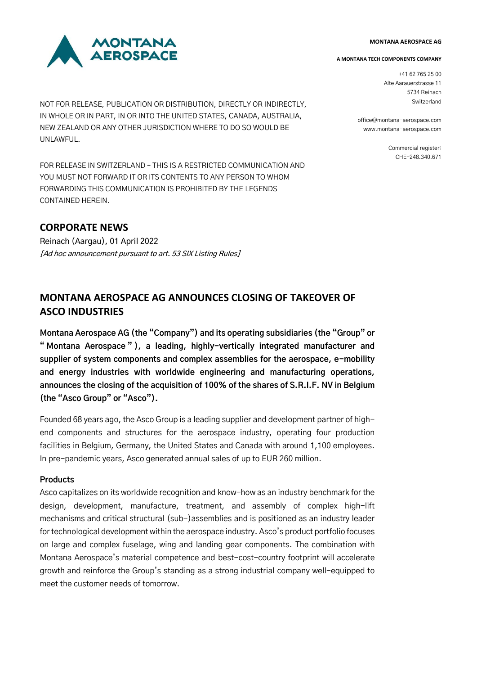#### **MONTANA AEROSPACE AG**



NOT FOR RELEASE, PUBLICATION OR DISTRIBUTION, DIRECTLY OR INDIRECTLY, IN WHOLE OR IN PART, IN OR INTO THE UNITED STATES, CANADA, AUSTRALIA, NEW ZEALAND OR ANY OTHER JURISDICTION WHERE TO DO SO WOULD BE UNLAWFUL.

FOR RELEASE IN SWITZERLAND – THIS IS A RESTRICTED COMMUNICATION AND YOU MUST NOT FORWARD IT OR ITS CONTENTS TO ANY PERSON TO WHOM FORWARDING THIS COMMUNICATION IS PROHIBITED BY THE LEGENDS CONTAINED HEREIN.

# **CORPORATE NEWS**

Reinach (Aargau), 01 April 2022 [Ad hoc announcement pursuant to art. 53 SIX Listing Rules]

#### **A MONTANA TECH COMPONENTS COMPANY**

+41 62 765 25 00 Alte Aarauerstrasse 11 5734 Reinach Switzerland

office@montana-aerospace.com www.montana-aerospace.com

> Commercial register: CHE-248.340.671

# **MONTANA AEROSPACE AG ANNOUNCES CLOSING OF TAKEOVER OF ASCO INDUSTRIES**

**Montana Aerospace AG (the "Company") and its operating subsidiaries (the "Group" or " Montana Aerospace " ), a leading, highly-vertically integrated manufacturer and supplier of system components and complex assemblies for the aerospace, e-mobility and energy industries with worldwide engineering and manufacturing operations, announces the closing of the acquisition of 100% of the shares of S.R.I.F. NV in Belgium (the "Asco Group" or "Asco").**

Founded 68 years ago, the Asco Group is a leading supplier and development partner of highend components and structures for the aerospace industry, operating four production facilities in Belgium, Germany, the United States and Canada with around 1,100 employees. In pre-pandemic years, Asco generated annual sales of up to EUR 260 million.

## **Products**

Asco capitalizes on its worldwide recognition and know-how as an industry benchmark for the design, development, manufacture, treatment, and assembly of complex high-lift mechanisms and critical structural (sub-)assemblies and is positioned as an industry leader fortechnological development within the aerospace industry. Asco's product portfolio focuses on large and complex fuselage, wing and landing gear components. The combination with Montana Aerospace's material competence and best-cost-country footprint will accelerate growth and reinforce the Group's standing as a strong industrial company well-equipped to meet the customer needs of tomorrow.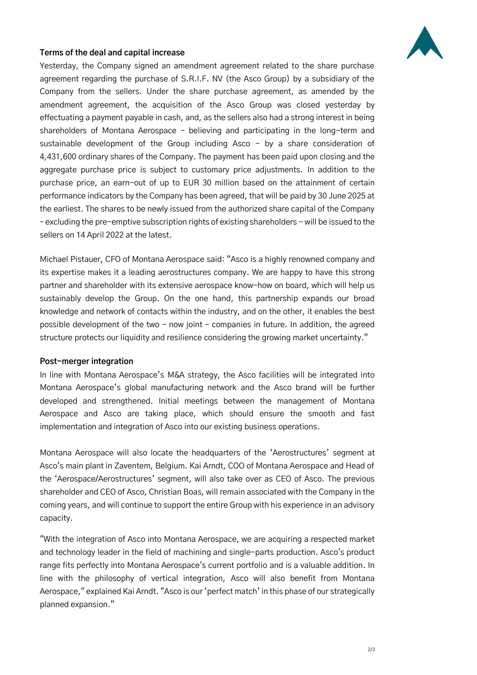

# **Terms of the deal and capital increase**

Yesterday, the Company signed an amendment agreement related to the share purchase agreement regarding the purchase of S.R.I.F. NV (the Asco Group) by a subsidiary of the Company from the sellers. Under the share purchase agreement, as amended by the amendment agreement, the acquisition of the Asco Group was closed yesterday by effectuating a payment payable in cash, and, as the sellers also had a strong interest in being shareholders of Montana Aerospace – believing and participating in the long-term and sustainable development of the Group including Asco – by a share consideration of 4,431,600 ordinary shares of the Company. The payment has been paid upon closing and the aggregate purchase price is subject to customary price adjustments. In addition to the purchase price, an earn-out of up to EUR 30 million based on the attainment of certain performance indicators by the Company has been agreed, that will be paid by 30 June 2025 at the earliest. The shares to be newly issued from the authorized share capital of the Company – excluding the pre-emptive subscription rights of existing shareholders – will be issued to the sellers on 14 April 2022 at the latest.

Michael Pistauer, CFO of Montana Aerospace said: "Asco is a highly renowned company and its expertise makes it a leading aerostructures company. We are happy to have this strong partner and shareholder with its extensive aerospace know-how on board, which will help us sustainably develop the Group. On the one hand, this partnership expands our broad knowledge and network of contacts within the industry, and on the other, it enables the best possible development of the two – now joint – companies in future. In addition, the agreed structure protects our liquidity and resilience considering the growing market uncertainty."

## **Post-merger integration**

In line with Montana Aerospace's M&A strategy, the Asco facilities will be integrated into Montana Aerospace's global manufacturing network and the Asco brand will be further developed and strengthened. Initial meetings between the management of Montana Aerospace and Asco are taking place, which should ensure the smooth and fast implementation and integration of Asco into our existing business operations.

Montana Aerospace will also locate the headquarters of the 'Aerostructures' segment at Asco's main plant in Zaventem, Belgium. Kai Arndt, COO of Montana Aerospace and Head of the 'Aerospace/Aerostructures' segment, will also take over as CEO of Asco. The previous shareholder and CEO of Asco, Christian Boas, will remain associated with the Company in the coming years, and will continue to support the entire Group with his experience in an advisory capacity.

"With the integration of Asco into Montana Aerospace, we are acquiring a respected market and technology leader in the field of machining and single-parts production. Asco's product range fits perfectly into Montana Aerospace's current portfolio and is a valuable addition. In line with the philosophy of vertical integration, Asco will also benefit from Montana Aerospace," explained Kai Arndt. "Asco is our 'perfect match' in this phase of our strategically planned expansion."